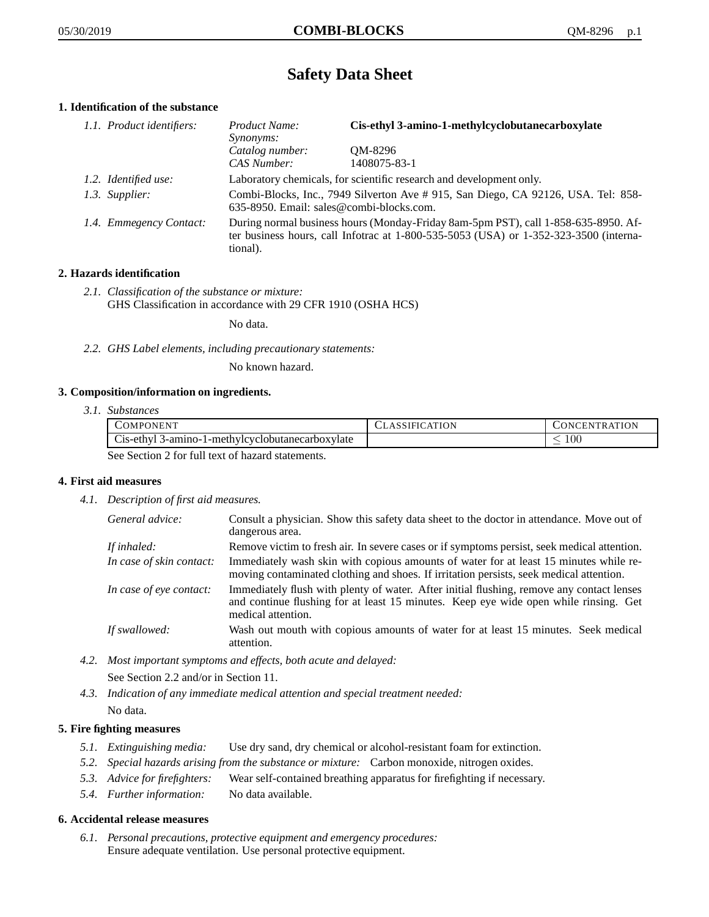# **Safety Data Sheet**

# **1. Identification of the substance**

| 1.1. Product identifiers: | Cis-ethyl 3-amino-1-methylcyclobutanecarboxylate<br>Product Name:<br><i>Synonyms:</i>                                                                                                       |                         |
|---------------------------|---------------------------------------------------------------------------------------------------------------------------------------------------------------------------------------------|-------------------------|
|                           | Catalog number:<br>CAS Number:                                                                                                                                                              | QM-8296<br>1408075-83-1 |
| 1.2. Identified use:      | Laboratory chemicals, for scientific research and development only.                                                                                                                         |                         |
| 1.3. Supplier:            | Combi-Blocks, Inc., 7949 Silverton Ave # 915, San Diego, CA 92126, USA. Tel: 858-<br>635-8950. Email: sales@combi-blocks.com.                                                               |                         |
| 1.4. Emmegency Contact:   | During normal business hours (Monday-Friday 8am-5pm PST), call 1-858-635-8950. Af-<br>ter business hours, call Infotrac at $1-800-535-5053$ (USA) or $1-352-323-3500$ (interna-<br>tional). |                         |

# **2. Hazards identification**

*2.1. Classification of the substance or mixture:* GHS Classification in accordance with 29 CFR 1910 (OSHA HCS)

No data.

*2.2. GHS Label elements, including precautionary statements:*

No known hazard.

## **3. Composition/information on ingredients.**

*3.1. Substances*

| COMPONENT                                        | <b>CLASSIFICATION</b> | <b>CONCENTRATION</b> |
|--------------------------------------------------|-----------------------|----------------------|
| Cis-ethyl 3-amino-1-methylcyclobutanecarboxylate |                       | .00                  |
| See Section 2 for full text of hazard statements |                       |                      |

See Section 2 for full text of hazard statements.

## **4. First aid measures**

*4.1. Description of first aid measures.*

| General advice:          | Consult a physician. Show this safety data sheet to the doctor in attendance. Move out of<br>dangerous area.                                                                                            |
|--------------------------|---------------------------------------------------------------------------------------------------------------------------------------------------------------------------------------------------------|
| If inhaled:              | Remove victim to fresh air. In severe cases or if symptoms persist, seek medical attention.                                                                                                             |
| In case of skin contact: | Immediately wash skin with copious amounts of water for at least 15 minutes while re-<br>moving contaminated clothing and shoes. If irritation persists, seek medical attention.                        |
| In case of eye contact:  | Immediately flush with plenty of water. After initial flushing, remove any contact lenses<br>and continue flushing for at least 15 minutes. Keep eye wide open while rinsing. Get<br>medical attention. |
| If swallowed:            | Wash out mouth with copious amounts of water for at least 15 minutes. Seek medical<br>attention.                                                                                                        |

*4.2. Most important symptoms and effects, both acute and delayed:*

See Section 2.2 and/or in Section 11.

*4.3. Indication of any immediate medical attention and special treatment needed:* No data.

# **5. Fire fighting measures**

- *5.1. Extinguishing media:* Use dry sand, dry chemical or alcohol-resistant foam for extinction.
- *5.2. Special hazards arising from the substance or mixture:* Carbon monoxide, nitrogen oxides.
- *5.3. Advice for firefighters:* Wear self-contained breathing apparatus for firefighting if necessary.
- *5.4. Further information:* No data available.

## **6. Accidental release measures**

*6.1. Personal precautions, protective equipment and emergency procedures:* Ensure adequate ventilation. Use personal protective equipment.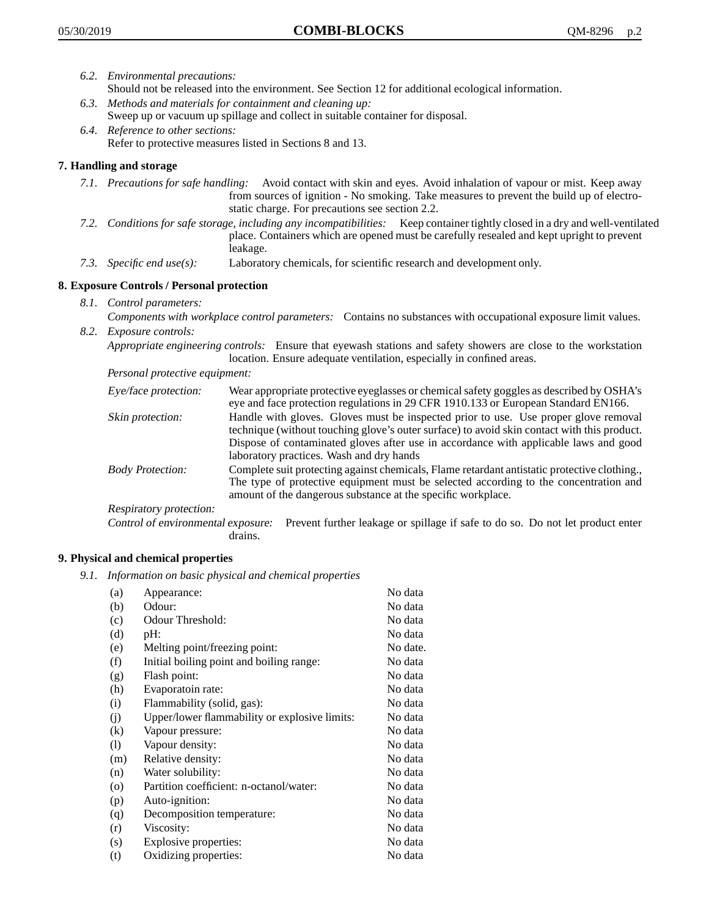- *6.2. Environmental precautions:* Should not be released into the environment. See Section 12 for additional ecological information.
- *6.3. Methods and materials for containment and cleaning up:* Sweep up or vacuum up spillage and collect in suitable container for disposal.
- *6.4. Reference to other sections:* Refer to protective measures listed in Sections 8 and 13.

# **7. Handling and storage**

- *7.1. Precautions for safe handling:* Avoid contact with skin and eyes. Avoid inhalation of vapour or mist. Keep away from sources of ignition - No smoking. Take measures to prevent the build up of electrostatic charge. For precautions see section 2.2.
- *7.2. Conditions for safe storage, including any incompatibilities:* Keep container tightly closed in a dry and well-ventilated place. Containers which are opened must be carefully resealed and kept upright to prevent leakage.
- *7.3. Specific end use(s):* Laboratory chemicals, for scientific research and development only.

## **8. Exposure Controls / Personal protection**

- *8.1. Control parameters:*
- *Components with workplace control parameters:* Contains no substances with occupational exposure limit values. *8.2. Exposure controls:*

*Appropriate engineering controls:* Ensure that eyewash stations and safety showers are close to the workstation location. Ensure adequate ventilation, especially in confined areas.

*Personal protective equipment:*

| Eye/face protection:    | Wear appropriate protective eyeglasses or chemical safety goggles as described by OSHA's<br>eye and face protection regulations in 29 CFR 1910.133 or European Standard EN166.                                                                                                                                         |
|-------------------------|------------------------------------------------------------------------------------------------------------------------------------------------------------------------------------------------------------------------------------------------------------------------------------------------------------------------|
| Skin protection:        | Handle with gloves. Gloves must be inspected prior to use. Use proper glove removal<br>technique (without touching glove's outer surface) to avoid skin contact with this product.<br>Dispose of contaminated gloves after use in accordance with applicable laws and good<br>laboratory practices. Wash and dry hands |
| <b>Body Protection:</b> | Complete suit protecting against chemicals, Flame retardant antistatic protective clothing.,<br>The type of protective equipment must be selected according to the concentration and<br>amount of the dangerous substance at the specific workplace.                                                                   |
| Respiratory protection: |                                                                                                                                                                                                                                                                                                                        |

Control of environmental exposure: Prevent further leakage or spillage if safe to do so. Do not let product enter drains.

## **9. Physical and chemical properties**

*9.1. Information on basic physical and chemical properties*

| (a)      | Appearance:                                   | No data  |
|----------|-----------------------------------------------|----------|
| (b)      | Odour:                                        | No data  |
| (c)      | Odour Threshold:                              | No data  |
| (d)      | pH:                                           | No data  |
| (e)      | Melting point/freezing point:                 | No date. |
| (f)      | Initial boiling point and boiling range:      | No data  |
| (g)      | Flash point:                                  | No data  |
| (h)      | Evaporatoin rate:                             | No data  |
| (i)      | Flammability (solid, gas):                    | No data  |
| (j)      | Upper/lower flammability or explosive limits: | No data  |
| $\rm(k)$ | Vapour pressure:                              | No data  |
| (1)      | Vapour density:                               | No data  |
| (m)      | Relative density:                             | No data  |
| (n)      | Water solubility:                             | No data  |
| $\circ$  | Partition coefficient: n-octanol/water:       | No data  |
| (p)      | Auto-ignition:                                | No data  |
| (q)      | Decomposition temperature:                    | No data  |
| (r)      | Viscosity:                                    | No data  |
| (s)      | Explosive properties:                         | No data  |
| (t)      | Oxidizing properties:                         | No data  |